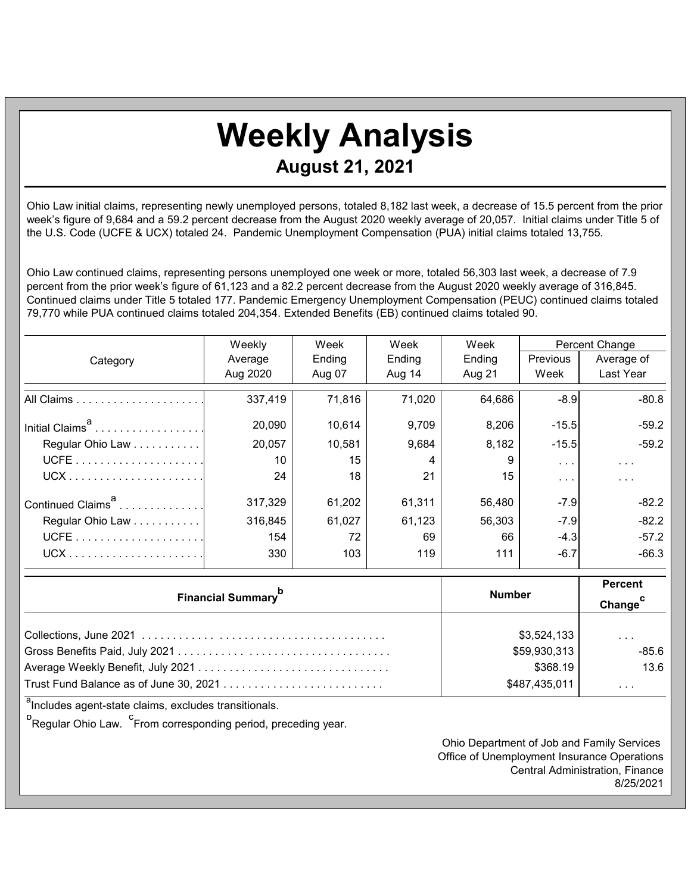## **Weekly Analysis August 21, 2021**

Ohio Law initial claims, representing newly unemployed persons, totaled 8,182 last week, a decrease of 15.5 percent from the prior week's figure of 9,684 and a 59.2 percent decrease from the August 2020 weekly average of 20,057. Initial claims under Title 5 of the U.S. Code (UCFE & UCX) totaled 24. Pandemic Unemployment Compensation (PUA) initial claims totaled 13,755.

Ohio Law continued claims, representing persons unemployed one week or more, totaled 56,303 last week, a decrease of 7.9 percent from the prior week's figure of 61,123 and a 82.2 percent decrease from the August 2020 weekly average of 316,845. Continued claims under Title 5 totaled 177. Pandemic Emergency Unemployment Compensation (PEUC) continued claims totaled 79,770 while PUA continued claims totaled 204,354. Extended Benefits (EB) continued claims totaled 90.

|                               | Weekly   | Week   | Week   | Week   | Percent Change       |                      |
|-------------------------------|----------|--------|--------|--------|----------------------|----------------------|
| Category                      | Average  | Ending | Ending | Ending | Previous             | Average of           |
|                               | Aug 2020 | Aug 07 | Aug 14 | Aug 21 | Week                 | Last Year            |
|                               | 337,419  | 71,816 | 71,020 | 64,686 | $-8.9$               | $-80.8$              |
| Initial Claims <sup>a</sup>   | 20,090   | 10,614 | 9,709  | 8,206  | $-15.5$              | $-59.2$              |
| Regular Ohio Law              | 20,057   | 10,581 | 9,684  | 8,182  | $-15.5$              | $-59.2$              |
|                               | 10       | 15     | 4      | 9      | $\sim$ $\sim$ $\sim$ | $\sim$ $\sim$ $\sim$ |
|                               | 24       | 18     | 21     | 15     | $\sim$ $ \sim$       | $\cdots$             |
| Continued Claims <sup>a</sup> | 317,329  | 61,202 | 61,311 | 56,480 | $-7.9$               | $-82.2$              |
| Regular Ohio Law              | 316,845  | 61,027 | 61,123 | 56,303 | $-7.9$               | $-82.2$              |
|                               | 154      | 72     | 69     | 66     | $-4.3$               | $-57.2$              |
|                               | 330      | 103    | 119    | 111    | $-6.7$               | $-66.3$              |

| <b>Financial Summary</b> <sup>p</sup> | <b>Number</b> | <b>Percent</b><br>Change <sup>C</sup> |
|---------------------------------------|---------------|---------------------------------------|
|                                       | \$3,524,133   | $\cdot$ $\cdot$ $\cdot$               |
|                                       | \$59,930,313  | $-85.6$                               |
|                                       | \$368.19      | 13.6                                  |
|                                       | \$487,435,011 | $\cdot$ $\cdot$ $\cdot$               |

<sup>a</sup>Includes agent-state claims, excludes transitionals.

<sup>b</sup> Regular Ohio Law. <sup>c</sup> From corresponding period, preceding year.

Ohio Department of Job and Family Services Office of Unemployment Insurance Operations Central Administration, Finance 8/25/2021